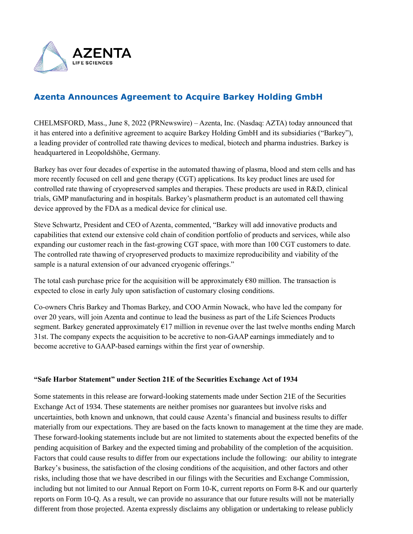

## **Azenta Announces Agreement to Acquire Barkey Holding GmbH**

CHELMSFORD, Mass., June 8, 2022 (PRNewswire) – Azenta, Inc. (Nasdaq: AZTA) today announced that it has entered into a definitive agreement to acquire Barkey Holding GmbH and its subsidiaries ("Barkey"), a leading provider of controlled rate thawing devices to medical, biotech and pharma industries. Barkey is headquartered in Leopoldshöhe, Germany.

Barkey has over four decades of expertise in the automated thawing of plasma, blood and stem cells and has more recently focused on cell and gene therapy (CGT) applications. Its key product lines are used for controlled rate thawing of cryopreserved samples and therapies. These products are used in R&D, clinical trials, GMP manufacturing and in hospitals. Barkey's plasmatherm product is an automated cell thawing device approved by the FDA as a medical device for clinical use.

Steve Schwartz, President and CEO of Azenta, commented, "Barkey will add innovative products and capabilities that extend our extensive cold chain of condition portfolio of products and services, while also expanding our customer reach in the fast-growing CGT space, with more than 100 CGT customers to date. The controlled rate thawing of cryopreserved products to maximize reproducibility and viability of the sample is a natural extension of our advanced cryogenic offerings."

The total cash purchase price for the acquisition will be approximately  $\epsilon$ 80 million. The transaction is expected to close in early July upon satisfaction of customary closing conditions.

Co-owners Chris Barkey and Thomas Barkey, and COO Armin Nowack, who have led the company for over 20 years, will join Azenta and continue to lead the business as part of the Life Sciences Products segment. Barkey generated approximately  $E17$  million in revenue over the last twelve months ending March 31st. The company expects the acquisition to be accretive to non-GAAP earnings immediately and to become accretive to GAAP-based earnings within the first year of ownership.

## **"Safe Harbor Statement" under Section 21E of the Securities Exchange Act of 1934**

Some statements in this release are forward-looking statements made under Section 21E of the Securities Exchange Act of 1934. These statements are neither promises nor guarantees but involve risks and uncertainties, both known and unknown, that could cause Azenta's financial and business results to differ materially from our expectations. They are based on the facts known to management at the time they are made. These forward-looking statements include but are not limited to statements about the expected benefits of the pending acquisition of Barkey and the expected timing and probability of the completion of the acquisition. Factors that could cause results to differ from our expectations include the following: our ability to integrate Barkey's business, the satisfaction of the closing conditions of the acquisition, and other factors and other risks, including those that we have described in our filings with the Securities and Exchange Commission, including but not limited to our Annual Report on Form 10-K, current reports on Form 8-K and our quarterly reports on Form 10-Q. As a result, we can provide no assurance that our future results will not be materially different from those projected. Azenta expressly disclaims any obligation or undertaking to release publicly